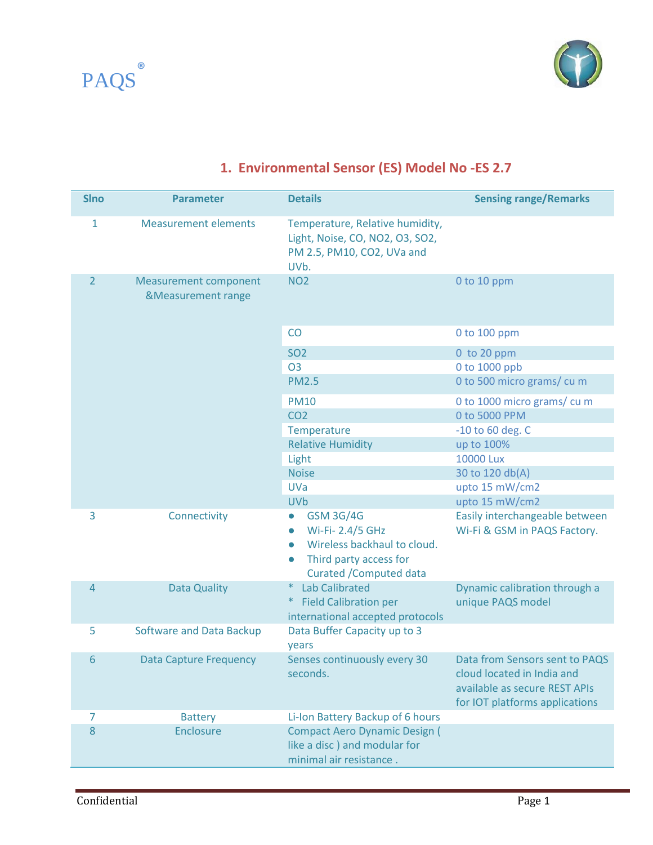



| <b>SIno</b>    | <b>Parameter</b>                                              | <b>Details</b>                                                                                                                                                                      | <b>Sensing range/Remarks</b>                                                                                                    |
|----------------|---------------------------------------------------------------|-------------------------------------------------------------------------------------------------------------------------------------------------------------------------------------|---------------------------------------------------------------------------------------------------------------------------------|
| 1              | <b>Measurement elements</b>                                   | Temperature, Relative humidity,<br>Light, Noise, CO, NO2, O3, SO2,<br>PM 2.5, PM10, CO2, UVa and<br>UV <sub>b</sub> .                                                               |                                                                                                                                 |
| $\overline{2}$ | <b>Measurement component</b><br><b>&amp;Measurement range</b> | <b>NO2</b>                                                                                                                                                                          | 0 to 10 ppm                                                                                                                     |
|                |                                                               | CO                                                                                                                                                                                  | 0 to 100 ppm                                                                                                                    |
|                |                                                               | <b>SO2</b>                                                                                                                                                                          | $0$ to 20 ppm                                                                                                                   |
|                |                                                               | <b>O3</b>                                                                                                                                                                           | 0 to 1000 ppb                                                                                                                   |
|                |                                                               | <b>PM2.5</b>                                                                                                                                                                        | 0 to 500 micro grams/cum                                                                                                        |
|                |                                                               | <b>PM10</b>                                                                                                                                                                         | 0 to 1000 micro grams/cum                                                                                                       |
|                |                                                               | CO <sub>2</sub>                                                                                                                                                                     | 0 to 5000 PPM                                                                                                                   |
|                |                                                               | Temperature                                                                                                                                                                         | $-10$ to 60 deg. C                                                                                                              |
|                |                                                               | <b>Relative Humidity</b>                                                                                                                                                            | up to 100%                                                                                                                      |
|                |                                                               | Light                                                                                                                                                                               | 10000 Lux                                                                                                                       |
|                |                                                               | <b>Noise</b>                                                                                                                                                                        | 30 to 120 db(A)                                                                                                                 |
|                |                                                               | <b>UVa</b>                                                                                                                                                                          | upto 15 mW/cm2                                                                                                                  |
|                |                                                               | <b>UVb</b>                                                                                                                                                                          | upto 15 mW/cm2                                                                                                                  |
| 3              | Connectivity                                                  | <b>GSM 3G/4G</b><br>$\bullet$<br>Wi-Fi- 2.4/5 GHz<br>$\bullet$<br>Wireless backhaul to cloud.<br>$\bullet$<br>Third party access for<br>$\bullet$<br><b>Curated / Computed data</b> | Easily interchangeable between<br>Wi-Fi & GSM in PAQS Factory.                                                                  |
| $\overline{4}$ | <b>Data Quality</b>                                           | <b>Lab Calibrated</b><br>$\ast$<br><b>Field Calibration per</b><br>$\ast$<br>international accepted protocols                                                                       | Dynamic calibration through a<br>unique PAQS model                                                                              |
| 5              | <b>Software and Data Backup</b>                               | Data Buffer Capacity up to 3<br>years                                                                                                                                               |                                                                                                                                 |
| 6              | <b>Data Capture Frequency</b>                                 | Senses continuously every 30<br>seconds.                                                                                                                                            | Data from Sensors sent to PAQS<br>cloud located in India and<br>available as secure REST APIs<br>for IOT platforms applications |
| 7              | <b>Battery</b>                                                | Li-Ion Battery Backup of 6 hours                                                                                                                                                    |                                                                                                                                 |
| 8              | Enclosure                                                     | <b>Compact Aero Dynamic Design (</b><br>like a disc) and modular for<br>minimal air resistance.                                                                                     |                                                                                                                                 |

## **1. Environmental Sensor (ES) Model No -ES 2.7**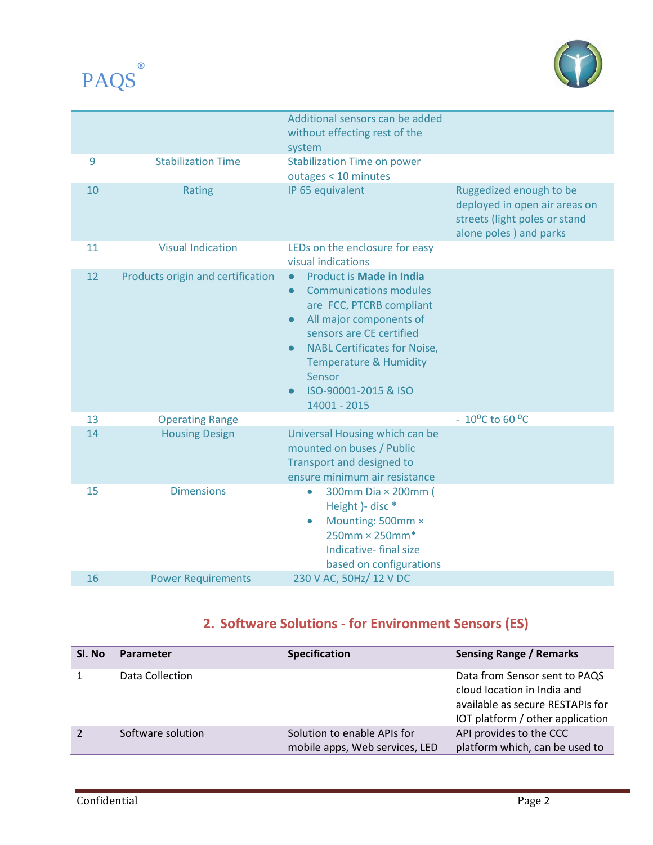



|    |                                   | Additional sensors can be added<br>without effecting rest of the<br>system                                                                                                                                                                                                                                                     |                                                                                                                     |
|----|-----------------------------------|--------------------------------------------------------------------------------------------------------------------------------------------------------------------------------------------------------------------------------------------------------------------------------------------------------------------------------|---------------------------------------------------------------------------------------------------------------------|
| 9  | <b>Stabilization Time</b>         | <b>Stabilization Time on power</b><br>outages < 10 minutes                                                                                                                                                                                                                                                                     |                                                                                                                     |
| 10 | Rating                            | IP 65 equivalent                                                                                                                                                                                                                                                                                                               | Ruggedized enough to be<br>deployed in open air areas on<br>streets (light poles or stand<br>alone poles) and parks |
| 11 | <b>Visual Indication</b>          | LEDs on the enclosure for easy<br>visual indications                                                                                                                                                                                                                                                                           |                                                                                                                     |
| 12 | Products origin and certification | Product is Made in India<br>$\bullet$<br><b>Communications modules</b><br>$\bullet$<br>are FCC, PTCRB compliant<br>All major components of<br>$\bullet$<br>sensors are CE certified<br><b>NABL Certificates for Noise,</b><br>$\bullet$<br><b>Temperature &amp; Humidity</b><br>Sensor<br>ISO-90001-2015 & ISO<br>14001 - 2015 |                                                                                                                     |
| 13 | <b>Operating Range</b>            |                                                                                                                                                                                                                                                                                                                                | $-10^{\circ}$ C to 60 °C                                                                                            |
| 14 | <b>Housing Design</b>             | Universal Housing which can be<br>mounted on buses / Public<br><b>Transport and designed to</b><br>ensure minimum air resistance                                                                                                                                                                                               |                                                                                                                     |
| 15 | <b>Dimensions</b>                 | 300mm Dia × 200mm (<br>$\bullet$<br>Height )- disc *<br>Mounting: 500mm ×<br>$\bullet$<br>$250$ mm $\times$ 250mm $*$<br>Indicative-final size<br>based on configurations                                                                                                                                                      |                                                                                                                     |
| 16 | <b>Power Requirements</b>         | 230 V AC, 50Hz/ 12 V DC                                                                                                                                                                                                                                                                                                        |                                                                                                                     |

## **2. Software Solutions - for Environment Sensors (ES)**

| SI. No | Parameter         | <b>Specification</b>                                          | <b>Sensing Range / Remarks</b>                                                                                                       |
|--------|-------------------|---------------------------------------------------------------|--------------------------------------------------------------------------------------------------------------------------------------|
|        | Data Collection   |                                                               | Data from Sensor sent to PAQS<br>cloud location in India and<br>available as secure RESTAPIs for<br>IOT platform / other application |
|        | Software solution | Solution to enable APIs for<br>mobile apps, Web services, LED | API provides to the CCC<br>platform which, can be used to                                                                            |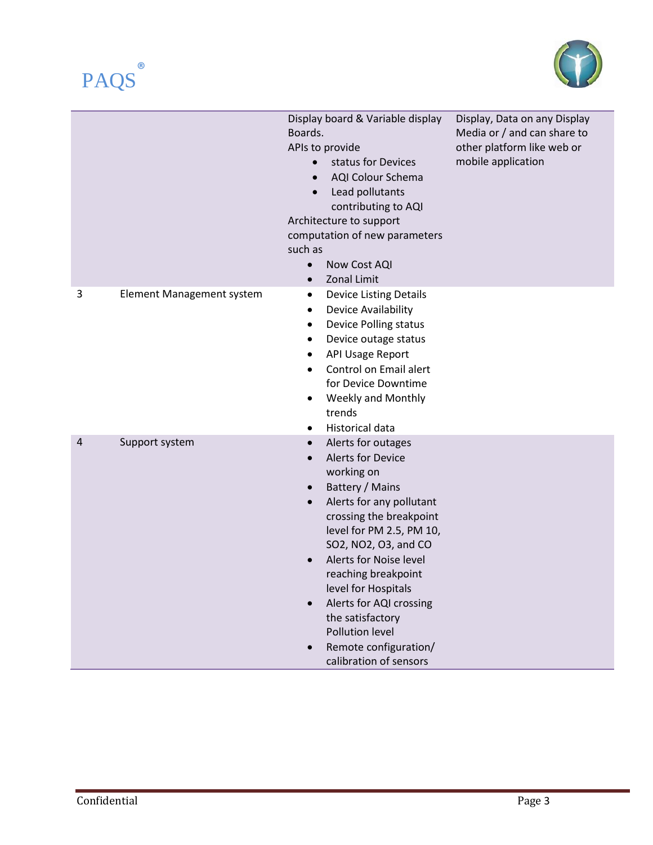



|   |                           | Display board & Variable display<br>Boards.<br>APIs to provide<br>status for Devices<br>$\bullet$<br>AQI Colour Schema<br>$\bullet$<br>Lead pollutants<br>$\bullet$<br>contributing to AQI<br>Architecture to support<br>computation of new parameters<br>such as<br>Now Cost AQI<br>$\bullet$<br>Zonal Limit                                                                           | Display, Data on any Display<br>Media or / and can share to<br>other platform like web or<br>mobile application |
|---|---------------------------|-----------------------------------------------------------------------------------------------------------------------------------------------------------------------------------------------------------------------------------------------------------------------------------------------------------------------------------------------------------------------------------------|-----------------------------------------------------------------------------------------------------------------|
| 3 | Element Management system | <b>Device Listing Details</b><br>$\bullet$<br>Device Availability<br>Device Polling status<br>Device outage status<br><b>API Usage Report</b><br>Control on Email alert<br>for Device Downtime<br><b>Weekly and Monthly</b><br>$\bullet$<br>trends<br>Historical data                                                                                                                   |                                                                                                                 |
| 4 | Support system            | Alerts for outages<br><b>Alerts for Device</b><br>working on<br>Battery / Mains<br>Alerts for any pollutant<br>crossing the breakpoint<br>level for PM 2.5, PM 10,<br>SO2, NO2, O3, and CO<br>Alerts for Noise level<br>reaching breakpoint<br>level for Hospitals<br>Alerts for AQI crossing<br>the satisfactory<br>Pollution level<br>Remote configuration/<br>calibration of sensors |                                                                                                                 |